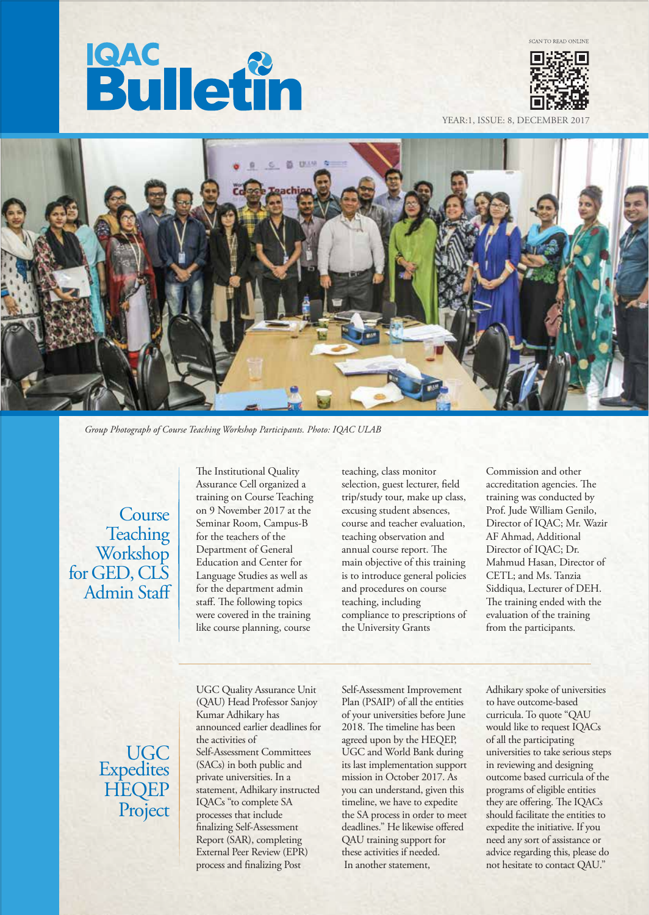# **Bulletin**



YEAR:1, ISSUE: 8, DECEMBER



*Group Photograph of Course Teaching Workshop Participants. Photo: IQAC ULAB*

**Course Teaching** Workshop for GED, CLS Admin Staff The Institutional Quality Assurance Cell organized a training on Course Teaching on 9 November 2017 at the Seminar Room, Campus-B for the teachers of the Department of General Education and Center for Language Studies as well as for the department admin staff. The following topics were covered in the training like course planning, course

teaching, class monitor selection, guest lecturer, field trip/study tour, make up class, excusing student absences, course and teacher evaluation, teaching observation and annual course report. The main objective of this training is to introduce general policies and procedures on course teaching, including compliance to prescriptions of the University Grants

Commission and other accreditation agencies. The training was conducted by Prof. Jude William Genilo, Director of IQAC; Mr. Wazir AF Ahmad, Additional Director of IQAC; Dr. Mahmud Hasan, Director of CETL; and Ms. Tanzia Siddiqua, Lecturer of DEH. The training ended with the evaluation of the training from the participants.

# UGC Expedites HEQEP Project

UGC Quality Assurance Unit (QAU) Head Professor Sanjoy Kumar Adhikary has announced earlier deadlines for the activities of Self-Assessment Committees (SACs) in both public and private universities. In a statement, Adhikary instructed IQACs "to complete SA processes that include nalizing Self-Assessment Report (SAR), completing External Peer Review (EPR) process and finalizing Post

Self-Assessment Improvement Plan (PSAIP) of all the entities of your universities before June 2018. The timeline has been agreed upon by the HEQEP, UGC and World Bank during its last implementation support mission in October 2017. As you can understand, given this timeline, we have to expedite the SA process in order to meet deadlines." He likewise offered QAU training support for these activities if needed. In another statement,

Adhikary spoke of universities to have outcome-based curricula. To quote "QAU would like to request IQACs of all the participating universities to take serious steps in reviewing and designing outcome based curricula of the programs of eligible entities they are offering. The IQACs should facilitate the entities to expedite the initiative. If you need any sort of assistance or advice regarding this, please do not hesitate to contact QAU."